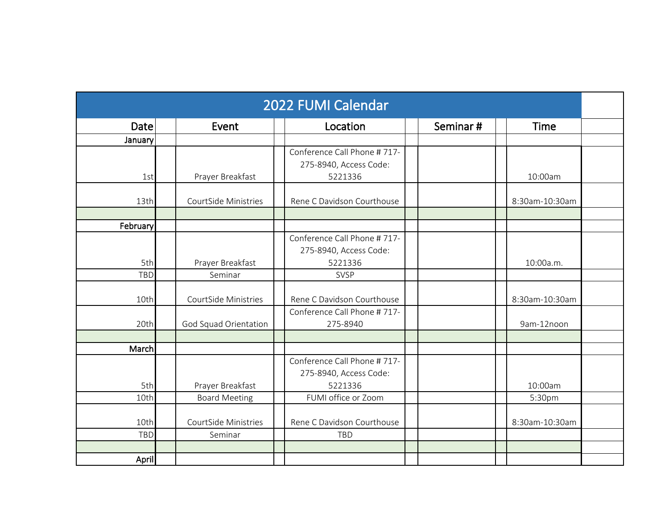|            |                       | 2022 FUMI Calendar                                    |          |                |
|------------|-----------------------|-------------------------------------------------------|----------|----------------|
| Date       | Event                 | Location                                              | Seminar# | Time           |
| January    |                       |                                                       |          |                |
|            |                       | Conference Call Phone #717-                           |          |                |
| 1st        | Prayer Breakfast      | 275-8940, Access Code:<br>5221336                     |          | 10:00am        |
|            |                       |                                                       |          |                |
| 13th       | CourtSide Ministries  | Rene C Davidson Courthouse                            |          | 8:30am-10:30am |
|            |                       |                                                       |          |                |
| February   |                       |                                                       |          |                |
|            |                       | Conference Call Phone #717-<br>275-8940, Access Code: |          |                |
| 5th        | Prayer Breakfast      | 5221336                                               |          | 10:00a.m.      |
| TBD        | Seminar               | SVSP                                                  |          |                |
|            |                       |                                                       |          |                |
| 10th       | CourtSide Ministries  | Rene C Davidson Courthouse                            |          | 8:30am-10:30am |
| 20th       | God Squad Orientation | Conference Call Phone #717-<br>275-8940               |          | 9am-12noon     |
|            |                       |                                                       |          |                |
| March      |                       |                                                       |          |                |
|            |                       | Conference Call Phone #717-                           |          |                |
|            |                       | 275-8940, Access Code:                                |          |                |
| 5th        | Prayer Breakfast      | 5221336                                               |          | 10:00am        |
| 10th       | <b>Board Meeting</b>  | FUMI office or Zoom                                   |          | 5:30pm         |
| 10th       | CourtSide Ministries  | Rene C Davidson Courthouse                            |          | 8:30am-10:30am |
| <b>TBD</b> | Seminar               | TBD                                                   |          |                |
|            |                       |                                                       |          |                |
| April      |                       |                                                       |          |                |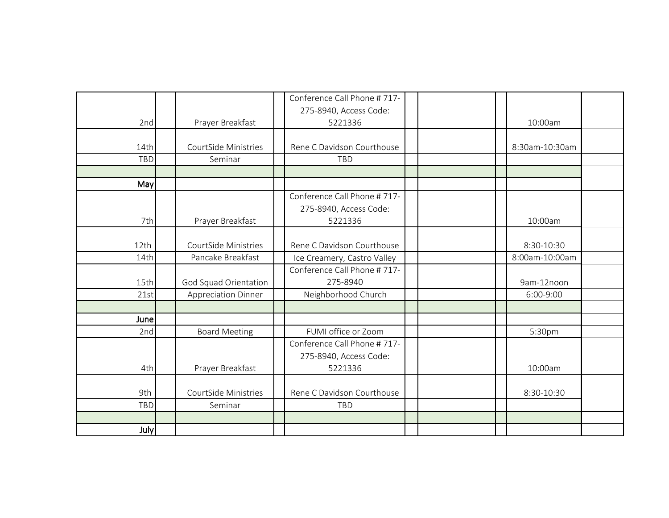|            |                            | Conference Call Phone #717-                           |  |                |
|------------|----------------------------|-------------------------------------------------------|--|----------------|
|            |                            | 275-8940, Access Code:                                |  |                |
| 2nd        | Prayer Breakfast           | 5221336                                               |  | 10:00am        |
| 14th       | CourtSide Ministries       | Rene C Davidson Courthouse                            |  | 8:30am-10:30am |
| TBD        | Seminar                    | TBD                                                   |  |                |
| May        |                            |                                                       |  |                |
|            |                            | Conference Call Phone #717-<br>275-8940, Access Code: |  |                |
| 7th        | Prayer Breakfast           | 5221336                                               |  | 10:00am        |
| 12th       | CourtSide Ministries       | Rene C Davidson Courthouse                            |  | 8:30-10:30     |
| 14th       | Pancake Breakfast          | Ice Creamery, Castro Valley                           |  | 8:00am-10:00am |
| 15th       | God Squad Orientation      | Conference Call Phone #717-<br>275-8940               |  | 9am-12noon     |
| 21st       | <b>Appreciation Dinner</b> | Neighborhood Church                                   |  | 6:00-9:00      |
| June       |                            |                                                       |  |                |
| 2nd        | <b>Board Meeting</b>       | FUMI office or Zoom                                   |  | 5:30pm         |
|            |                            | Conference Call Phone #717-<br>275-8940, Access Code: |  |                |
| 4th        | Prayer Breakfast           | 5221336                                               |  | 10:00am        |
| 9th        | CourtSide Ministries       | Rene C Davidson Courthouse                            |  | 8:30-10:30     |
| <b>TBD</b> | Seminar                    | TBD                                                   |  |                |
| July       |                            |                                                       |  |                |
|            |                            |                                                       |  |                |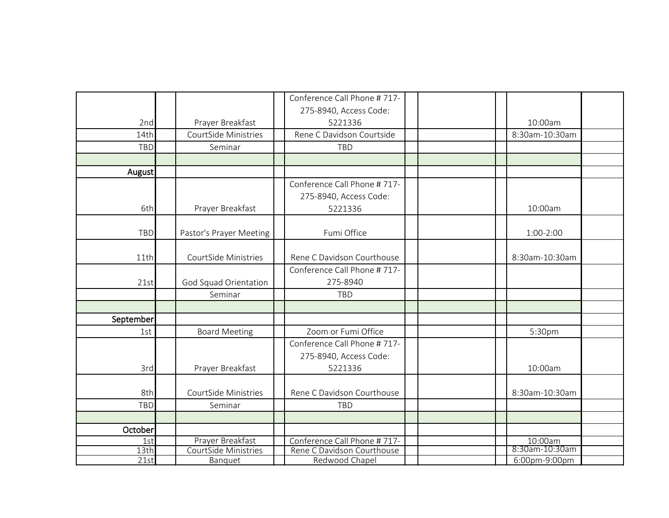|             |                                          | Conference Call Phone #717-<br>275-8940, Access Code:     |                           |  |
|-------------|------------------------------------------|-----------------------------------------------------------|---------------------------|--|
| 2nd         | Prayer Breakfast                         | 5221336                                                   | 10:00am                   |  |
| 14th        | CourtSide Ministries                     | Rene C Davidson Courtside                                 | 8:30am-10:30am            |  |
| <b>TBD</b>  | Seminar                                  | TBD                                                       |                           |  |
|             |                                          |                                                           |                           |  |
| August      |                                          |                                                           |                           |  |
|             |                                          | Conference Call Phone #717-                               |                           |  |
| 6th         | Prayer Breakfast                         | 275-8940, Access Code:<br>5221336                         | 10:00am                   |  |
|             |                                          |                                                           |                           |  |
| <b>TBD</b>  | Pastor's Prayer Meeting                  | Fumi Office                                               | $1:00-2:00$               |  |
| 11th        | CourtSide Ministries                     | Rene C Davidson Courthouse                                | 8:30am-10:30am            |  |
|             |                                          | Conference Call Phone #717-                               |                           |  |
| 21st        | God Squad Orientation                    | 275-8940                                                  |                           |  |
|             | Seminar                                  | TBD                                                       |                           |  |
| September   |                                          |                                                           |                           |  |
| 1st         | <b>Board Meeting</b>                     | Zoom or Fumi Office                                       | 5:30pm                    |  |
|             |                                          | Conference Call Phone #717-                               |                           |  |
|             |                                          | 275-8940, Access Code:                                    |                           |  |
| 3rd         | Prayer Breakfast                         | 5221336                                                   | 10:00am                   |  |
| 8th         | CourtSide Ministries                     | Rene C Davidson Courthouse                                | 8:30am-10:30am            |  |
| <b>TBD</b>  | Seminar                                  | TBD                                                       |                           |  |
|             |                                          |                                                           |                           |  |
| October     |                                          |                                                           |                           |  |
|             |                                          |                                                           |                           |  |
| 1st<br>13th | Prayer Breakfast<br>CourtSide Ministries | Conference Call Phone #717-<br>Rene C Davidson Courthouse | 10:00am<br>8:30am-10:30am |  |